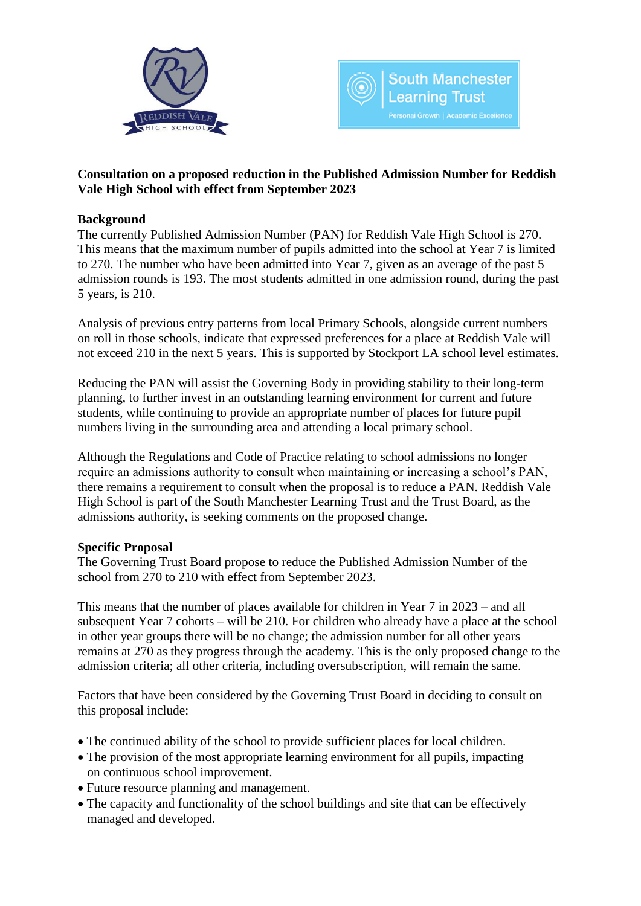



# **Consultation on a proposed reduction in the Published Admission Number for Reddish Vale High School with effect from September 2023**

# **Background**

The currently Published Admission Number (PAN) for Reddish Vale High School is 270. This means that the maximum number of pupils admitted into the school at Year 7 is limited to 270. The number who have been admitted into Year 7, given as an average of the past 5 admission rounds is 193. The most students admitted in one admission round, during the past 5 years, is 210.

Analysis of previous entry patterns from local Primary Schools, alongside current numbers on roll in those schools, indicate that expressed preferences for a place at Reddish Vale will not exceed 210 in the next 5 years. This is supported by Stockport LA school level estimates.

Reducing the PAN will assist the Governing Body in providing stability to their long-term planning, to further invest in an outstanding learning environment for current and future students, while continuing to provide an appropriate number of places for future pupil numbers living in the surrounding area and attending a local primary school.

Although the Regulations and Code of Practice relating to school admissions no longer require an admissions authority to consult when maintaining or increasing a school's PAN, there remains a requirement to consult when the proposal is to reduce a PAN. Reddish Vale High School is part of the South Manchester Learning Trust and the Trust Board, as the admissions authority, is seeking comments on the proposed change.

# **Specific Proposal**

The Governing Trust Board propose to reduce the Published Admission Number of the school from 270 to 210 with effect from September 2023.

This means that the number of places available for children in Year 7 in 2023 – and all subsequent Year 7 cohorts – will be 210. For children who already have a place at the school in other year groups there will be no change; the admission number for all other years remains at 270 as they progress through the academy. This is the only proposed change to the admission criteria; all other criteria, including oversubscription, will remain the same.

Factors that have been considered by the Governing Trust Board in deciding to consult on this proposal include:

- The continued ability of the school to provide sufficient places for local children.
- The provision of the most appropriate learning environment for all pupils, impacting on continuous school improvement.
- Future resource planning and management.
- The capacity and functionality of the school buildings and site that can be effectively managed and developed.